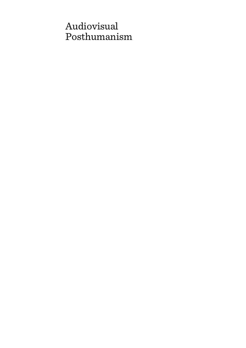# Audiovisual Posthumanism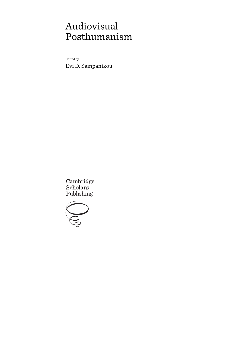# Audiovisual Posthumanism

Edited by Evi D. Sampanikou

Cambridge Scholars Publishing

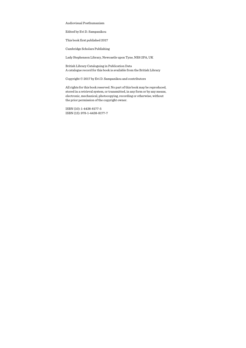Audiovisual Posthumanism

Edited by Evi D. Sampanikou

This book first published 2017

Cambridge Scholars Publishing

Lady Stephenson Library, Newcastle upon Tyne, NE6 2PA, UK

British Library Cataloguing in Publication Data A catalogue record for this book is available from the British Library

Copyright © 2017 by Evi D. Sampanikou and contributors

All rights for this book reserved. No part of this book may be reproduced, stored in a retrieval system, or transmitted, in any form or by any means, electronic, mechanical, photocopying, recording or otherwise, without the prior permission of the copyright owner.

ISBN (10): 1-4438-8177-5 ISBN (13): 978-1-4438-8177-7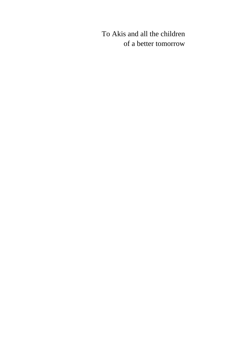# To Akis and all the children of a better tomorrow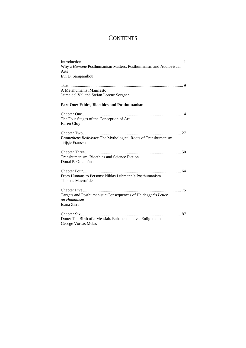# **CONTENTS**

| Why a Humane Posthumanism Matters: Posthumanism and Audiovisual<br>Arts                     |
|---------------------------------------------------------------------------------------------|
| Evi D. Sampanikou                                                                           |
| A Metahumanist Manifesto<br>Jaime del Val and Stefan Lorenz Sorgner                         |
| <b>Part One: Ethics, Bioethics and Posthumanism</b>                                         |
| The Four Stages of the Conception of Art<br>Karen Gloy                                      |
| Prometheus Redivivus: The Mythological Roots of Transhumanism<br>Trijsje Franssen           |
| Transhumanism, Bioethics and Science Fiction<br>Dónal P. Omathúna                           |
| From Humans to Persons: Niklas Luhmann's Posthumanism<br>Thomas Mayrofides                  |
| Targets and Posthumanistic Consequences of Heidegger's Letter<br>on Humanism<br>Ioana Zirra |
| Dune: The Birth of a Messiah. Enhancement vs. Enlightenment<br>George Voreas Melas          |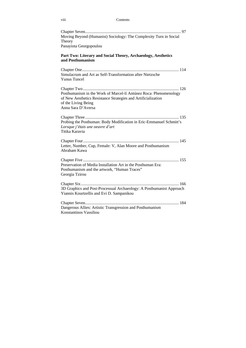### viii Contents

| Moving Beyond (Humanist) Sociology: The Complexity Turn in Social<br>Theory<br>Panayiota Georgopoulou                                                                           |
|---------------------------------------------------------------------------------------------------------------------------------------------------------------------------------|
| Part Two: Literary and Social Theory, Archaeology, Aesthetics<br>and Posthumanism                                                                                               |
| Simulacrum and Art as Self-Transformation after Nietzsche<br><b>Yunus Tuncel</b>                                                                                                |
| Posthumanism in the Work of Marcel-lí Antúnez Roca: Phenomenology<br>of New Aesthetics Resistance Strategies and Artificialization<br>of the Living Being<br>Anna Sara D'Aversa |
| Probing the Posthuman: Body Modification in Eric-Emmanuel Schmitt's<br>Lorsque j'étais une oeuvre d'art<br>Titika Karavia                                                       |
| Letter, Number, Cup, Female: V, Alan Moore and Posthumanism<br>Abraham Kawa                                                                                                     |
| Preservation of Media Installation Art in the Posthuman Era:<br>Posthumanism and the artwork, "Human Traces"<br>Georgia Tzirou                                                  |
| 3D Graphics and Post-Processual Archaeology: A Posthumanist Approach<br>Yiannis Kourtzellis and Evi D. Sampanikou                                                               |
| Dangerous Allies: Artistic Transgression and Posthumanism<br>Konstantinos Vassiliou                                                                                             |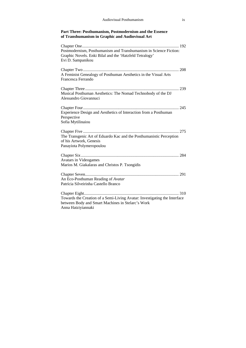### **Part Three: Posthumanism, Postmodernism and the Essence of Transhumanism in Graphic and Audiovisual Art**

| Postmodernism, Posthumanism and Transhumanism in Science Fiction:<br>Graphic Novels. Enki Bilal and the 'Hatzfeld Tetralogy'<br>Evi D. Sampanikou    |
|------------------------------------------------------------------------------------------------------------------------------------------------------|
| A Feminist Genealogy of Posthuman Aesthetics in the Visual Arts<br>Francesca Ferrando                                                                |
| Musical Posthuman Aesthetics: The Nomad Technobody of the DJ<br>Alessandro Giovannuci                                                                |
| Experience Design and Aesthetics of Interaction from a Posthuman<br>Perspective<br>Sofia Mytilinaiou                                                 |
| The Transgenic Art of Eduardo Kac and the Posthumanistic Perception<br>of his Artwork, Genesis<br>Panayiota Polymeropoulou                           |
| Avatars in Videogames<br>Marios M. Giakalaras and Christos P. Tsongidis                                                                              |
| An Eco-Posthuman Reading of Avatar<br>Patrícia Silveirinha Castello Branco                                                                           |
| Towards the Creation of a Semi-Living Avatar: Investigating the Interface<br>between Body and Smart Machines in Stelarc's Work<br>Anna Hatziyiannaki |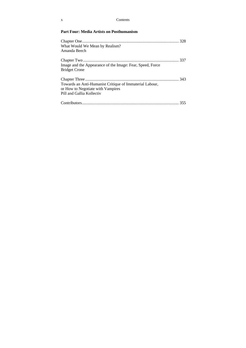### **Part Four: Media Artists on Posthumanism**

| What Would We Mean by Realism?                                                    |  |
|-----------------------------------------------------------------------------------|--|
| Amanda Beech                                                                      |  |
| Image and the Appearance of the Image: Fear, Speed, Force<br><b>Bridget Crone</b> |  |
|                                                                                   |  |
| Towards an Anti-Humanist Critique of Immaterial Labour,                           |  |
| or How to Negotiate with Vampires                                                 |  |
| Pill and Gallia Kollectiv                                                         |  |
|                                                                                   |  |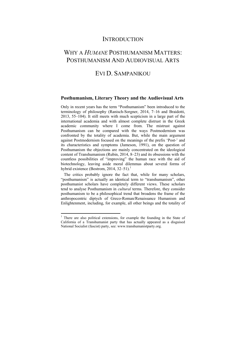### **INTRODUCTION**

# WHY A *HUMANE* POSTHUMANISM MATTERS: POSTHUMANISM AND AUDIOVISUAL ARTS

## EVI D. SAMPANIKOU

### **Posthumanism, Literary Theory and the Audiovisual Arts**

Only in recent years has the term "Posthumanism" been introduced to the terminology of philosophy (Ranisch-Sorgner, 2014, 7–16 and Braidotti, 2013, 55–104). It still meets with much scepticism in a large part of the international academia and with almost complete distrust in the Greek academic community where I come from. The mistrust against Posthumanism can be compared with the ways Postmodernism was confronted by the totality of academia. But, while the main argument against Postmodernism focused on the meanings of the prefix 'Post-' and its characteristics and symptoms (Jameson, 1991), on the question of Posthumanism the objections are mainly concentrated on the ideological content of Transhumanism (Rubin, 2014, 8–23) and its obsessions with the countless possibilities of "improving" the human race with the aid of biotechnology, leaving aside moral dilemmas about several forms of hybrid existence (Bostrom, 2014, 32–51).<sup>1</sup>

 The critics probably ignore the fact that, while for many scholars, "posthumanism" is actually an identical term to "transhumanism", other posthumanist scholars have completely different views. These scholars tend to analyse Posthumanism in *cultural* terms. Therefore, they consider posthumanism to be a philosophical trend that broadens the frame of the anthropocentric diptych of Greco-Roman/Renaissance Humanism and Enlightenment, including, for example, all other beings and the totality of

 $\ddot{\phantom{a}}$ 

<sup>&</sup>lt;sup>1</sup> There are also political extensions, for example the founding in the State of California of a Transhumanist party that has actually appeared as a disguised National Socialist (fascist) party, see: www.transhumanistparty.org.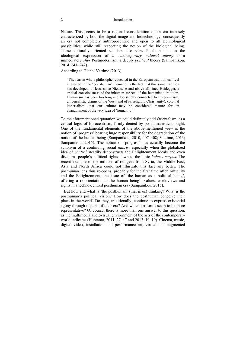#### 2 Introduction

Nature. This seems to be a rational consideration of an era intensely characterized by both the digital image and biotechnology, consequently an era not completely anthropocentric and open to all technological possibilities, while still respecting the notion of the biological being. These culturally oriented scholars also view Posthumanism as the ideological expression of *a contemporary cultural theory* born immediately *after* Postmodernism, a deeply *political* theory (Sampanikou, 2014, 241–242).

According to Gianni Vattimo (2013):

"The reason why a philosopher educated in the European tradition can feel interested in the 'post-human' thematic, is the fact that this same tradition has developed, at least since Nietzsche and above all since Heidegger, a critical consciousness of the inhuman aspects of the humanistic tradition. Humanism has been too long and too strictly connected to Eurocentrism, universalistic claims of the West (and of its religion, Christianity), colonial imperialism, that our culture may be considered mature for an abandonment of the very idea of 'humanity'."

To the aforementioned quotation we could definitely add Orientalism, as a central logic of Eurocentrism, firmly denied by posthumanistic thought. One of the fundamental elements of the above-mentioned view is the notion of 'progress' bearing huge responsibility for the degradation of the notion of the human being (Sampanikou, 2010, 407–408; Vattimo, 2013; Sampanikou, 2015). The notion of 'progress' has actually become the synonym of a continuing social *hubris*, especially when the globalized idea of *control* steadily deconstructs the Enlightenment ideals and even disclaims people's political rights down to the basic *habeas corpus*. The recent example of the millions of refugees from Syria, the Middle East, Asia and North Africa could not illustrate this fact any better. The posthuman lens thus re-opens, probably for the first time after Antiquity and the Enlightenment, the issue of 'the human as a political being', offering a re-orientation to the human being's values, worldviews and rights in a techno-centred posthuman era (Sampanikou, 2015).

 But how and what is 'the posthuman' (that is us) thinking? What is the posthuman's political vision? How does the posthuman conceive their place in the world? Do they, traditionally, continue to express existential agony through the arts of their era? And which art forms seem to be more representative? Of course, there is more than one answer to this question, as the multimedia audiovisual environment of the arts of the contemporary world indicates (Huhtamo, 2011, 27–47 and 2013, 10–19). Cinema, music, digital video, installation and performance art, virtual and augmented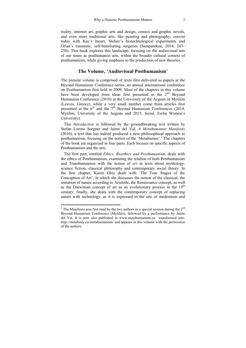reality, internet art, graphic arts and design, comics and graphic novels, and even more traditional arts, like painting and photography, coexist today with Kac's bioart, Stelarc's biotechnological experiments and Orlan's traumatic, self-humiliating surgeries (Sampanikou, 2014, 243– 250). This book explores this landscape, focusing on the audiovisual arts of our times as posthumanist arts, within the broader cultural context of posthumanism, while giving emphasis to the production of new theories.

### **The Volume, 'Audiovisual Posthumanism'**

The present volume is comprised of texts first delivered as papers at the Beyond Humanism Conference series, an annual international conference on Posthumanism first held in 2009. Most of the chapters in this volume have been developed from ideas first presented in the 2<sup>nd</sup> Beyond Humanism Conference (2010) at the University of the Aegean in Mytilini (Lesvos, Greece), while a very small number come from articles first presented at the  $6<sup>th</sup>$  and the  $7<sup>th</sup>$  Beyond Humanism Conferences (2014, Mytilini, University of the Aegean and 2015, Seoul, Ewha Women's University).

 This *Introduction* is followed by the groundbreaking text written by Stefan Lorenz Sorgner and Jaime del Val, *A Metahumanist Manifesto* (2010), a text that has indeed produced a new philosophical approach to posthumanism, focusing on the notion of the 'Metahuman'.<sup>2</sup> The chapters of the book are organized in four parts. Each focuses on specific aspects of Posthumanism and the arts.

 The first part, entitled *Ethics, Bioethics and Posthumanism*, deals with the ethics of Posthumanism, examining the relation of both Posthumanism and Transhumanism with the notion of *art* in texts about mythology, science fiction, classical philosophy and contemporary social theory. In the first chapter, Karen Gloy deals with 'The Four Stages of the Conception of Art', in which she discusses the notion of the classical, the imitation of nature according to Aristotle, the Renaissance concept, as well as the Darwinian concept of art as an evolutionary process in the  $19<sup>th</sup>$ century; finally, she deals with the contemporary concept of replacing nature with technology, as it is expressed in the arts of modernism and

 $\ddot{\phantom{a}}$ 

<sup>&</sup>lt;sup>2</sup> The Manifesto was first read by the two authors in a special session during the  $2^{nd}$ Beyond Humanism Conference (Mytilini), followed by a performance by Jaime del Val. It is now also published in www.metahumanism.eu transformed into: http://metabody.eu/metahumanism/ and appears in this volume with the permission of the authors.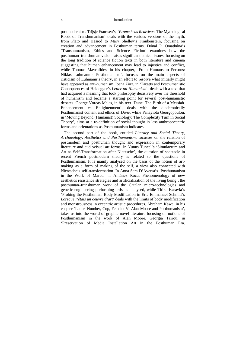#### 4 Introduction

postmodernism. Trijsje Franssen's, '*Prometheus Redivivus*: The Mythological Roots of Transhumanism' deals with the various versions of the myth, from Plato and Hesiod to Mary Shelley's Frankenstein, focusing on creation and advancement in Posthuman terms. Dónal P. Omathúna's 'Transhumanism, Ethics and Science Fiction' examines how the posthuman–transhuman vision raises significant ethical issues, focusing on the long tradition of science fiction texts in both literature and cinema suggesting that human enhancement may lead to injustice and conflict, while Thomas Mavrofides, in his chapter, 'From Humans to Persons: Niklas Luhmann's Posthumanism', focuses on the main aspects of criticism of Luhmann's theory, in an effort to resolve what initially might have appeared as anti-humanism. Ioana Zirra, in 'Targets and Posthumanistic Consequences of Heidegger's *Letter on Humanism*', deals with a text that had acquired a meaning that took philosophy decisively over the threshold of humanism and became a starting point for several post-humanistic debates. George Voreas Melas, in his text 'Dune. The Birth of a Messiah. Enhancement vs Enlightenment', deals with the diachronically Posthumanist content and ethics of *Dune*, while Panayiota Georgopoulou, in 'Moving Beyond (Humanist) Sociology: The Complexity Turn in Social Theory', aims at a re-definition of social thought in less anthropocentric forms and orientations as Posthumanism indicates.

 The second part of the book, entitled *Literary and Social Theory, Archaeology, Aesthetics and Posthumanism*, focusses on the relation of postmodern and posthuman thought and expression in contemporary literature and audiovisual art forms. In Yunus Tuncel's 'Simulacrum and Art as Self-Transformation after Nietzsche', the question of spectacle in recent French postmodern theory is related to the questions of Posthumanism. It is mainly analysed on the basis of the notion of artmaking as a form of making of the self, a view also connected with Nietzsche's self-transformation. In Anna Sara D'Aversa's 'Posthumanism in the Work of Marcel- lí Antúnez Roca: Phenomenology of new aesthetics resistance strategies and artificialization of the living being', the posthuman–transhuman work of the Catalan micro-technologies and genetic engineering performing artist is analysed, while Titika Karavia's 'Probing the Posthuman. Body Modification in Eric-Emmanuel Schmitt's *Lorsque j'étais un oeuvre d'art*' deals with the limits of body modification and monstrousness in eccentric artistic procedures. Abraham Kawa, in his chapter 'Letter, Number, Cup, Female: V, Alan Moore and Posthumanism', takes us into the world of graphic novel literature focusing on notions of Posthumanism in the work of Alan Moore. Georgia Tzirou, in 'Preservation of Media Installation Art in the Posthuman Era.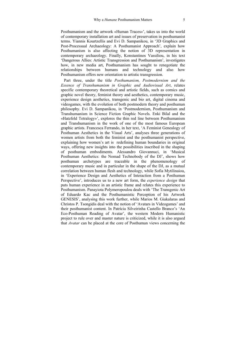Posthumanism and the artwork «Human Traces»', takes us into the world of contemporary installation art and issues of preservation in posthumanist terms. Yiannis Kourtzellis and Evi D. Sampanikou, in '3D Graphics and Post-Processual Archaeology: A Posthumanist Approach', explain how Posthumanism is also affecting the notion of 3D representation in contemporary archaeology. Finally, Konstantinos Vassiliou, in his text 'Dangerous Allies: Artistic Transgression and Posthumanism', investigates how, in new media art, Posthumanism has sought to renegotiate the relationships between humans and technology and also how Posthumanism offers new orientation to artistic transgression.

 Part three, under the title *Posthumanism, Postmodernism and the Essence of Transhumanism in Graphic and Audiovisual Art*, relates specific contemporary theoretical and artistic fields, such as comics and graphic novel theory, feminist theory and aesthetics, contemporary music, experience design aesthetics, transgenic and bio art, digital cinema and videogames, with the evolution of both postmodern theory and posthuman philosophy. Evi D. Sampanikou, in 'Postmodernism, Posthumanism and Transhumanism in Science Fiction Graphic Novels. Enki Bilal and the «Hatzfeld Tetralogy»', explores the thin red line between Posthumanism and Transhumanism in the work of one of the most famous European graphic artists. Francesca Ferrando, in her text, 'A Feminist Genealogy of Posthuman Aesthetics in the Visual Arts', analyses three generations of women artists from both the feminist and the posthumanist perspective, explaining how women's art is redefining human boundaries in original ways, offering new insights into the possibilities inscribed in the shaping of posthuman embodiments. Alessandro Giovannuci, in 'Musical Posthuman Aesthetics: the Nomad Technobody of the DJ', shows how posthuman archetypes are traceable in the phenomenology of contemporary music and in particular in the shape of the DJ, as a mutual correlation between human flesh and technology, while Sofia Mytilinaiou, in 'Experience Design and Aesthetics of Interaction from a Posthuman Perspective', introduces us to a new art form, the *experience design* that puts human experience in an artistic frame and relates this experience to Posthumanism. Panayiota Polymeropoulou deals with 'The Transgenic Art of Eduardo Kac and the Posthumanistic Perception of his Artwork GENESIS', analysing this work further, while Marios M. Giakalaras and Christos P. Tsongidis deal with the notion of 'Avatars in Videogames' and their posthumanist content. In Patrícia Silveirinha Castello Branco's 'An Eco-Posthuman Reading of Avatar', the western Modern Humanistic project to rule over and master nature is criticized, while it is also argued that *Avatar* can be placed at the core of Posthuman views concerning the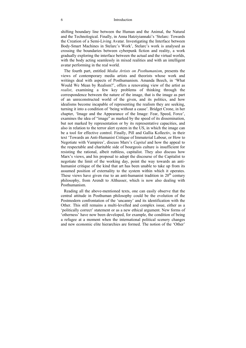#### 6 Introduction

shifting boundary line between the Human and the Animal, the Natural and the Technological. Finally, in Anna Hatziyiannaki's 'Stelarc: Towards the Creation of a Semi-Living Avatar. Investigating the Interface between Body-Smart Machines in Stelarc's Work', Stelarc's work is analysed as crossing the boundaries between cyberpunk fiction and reality, a work gradually exploring the interface between the actual and the virtual worlds, with the body acting seamlessly in mixed realities and with an intelligent avatar performing in the real world.

 The fourth part, entitled *Media Artists on Posthumanism*, presents the views of contemporary media artists and theorists whose work and writings deal with aspects of Posthumanism. Amanda Beech, in 'What Would We Mean by Realism?', offers a renovating view of the artist as *realist*, examining a few key problems of thinking through the correspondence between the nature of the image, that is the image as part of an unreconstructed world of the given, and its politics, and how idealisms become incapable of representing the realism they are seeking, turning it into a condition of 'being without a cause'. Bridget Crone, in her chapter, 'Image and the Appearance of the Image: Fear, Speed, Force', examines the idea of "image" as marked by the speed of its dissemination, but not marked by representation or by its representative capacities, and also in relation to the terror alert system in the US, in which the image can be a tool for effective control. Finally, Pill and Gallia Kollectiv, in their text 'Towards an Anti-Humanist Critique of Immaterial Labour, or How to Negotiate with Vampires', discuss Marx's *Capital* and how the appeal to the respectable and charitable side of bourgeois culture is insufficient for resisting the rational, albeit ruthless, capitalist. They also discuss how Marx's views, and his proposal to adopt the discourse of the Capitalist to negotiate the limit of the working day, point the way towards an antihumanist critique of the kind that art has been unable to take up from its assumed position of externality to the system within which it operates. These views have given rise to an anti-humanist tradition in  $20<sup>th</sup>$  century philosophy, from Arendt to Althusser, which is now also dealing with Posthumanism.

 Reading all the above-mentioned texts, one can easily observe that the central attitude in Posthuman philosophy could be the evolution of the Postmodern confrontation of the 'uncanny' and its identification with the Other. This still remains a multi-levelled and complex issue, either as a 'politically correct' statement or as a new ethical argument. New forms of 'otherness' have now been developed, for example, the condition of being a refugee at a moment when the international political scenery changes and new economic elite hierarchies are formed. The notion of the 'Other'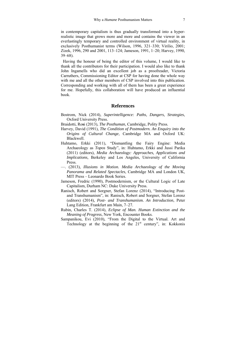in contemporary capitalism is thus gradually transformed into a hyperrealistic image that grows more and more and contains the viewer in an everlastingly temporary and controlled environment of virtual reality, in exclusively Posthumanist terms (Wilson, 1996, 321–330; Virilio, 2001; Zizek, 1996, 290 and 2001, 113–124; Jameson, 1991, 1–20; Harvey, 1990, 39–68).

 Having the honour of being the editor of this volume, I would like to thank all the contributors for their participation. I would also like to thank John Ingamells who did an excellent job as a proofreader, Victoria Carruthers, Commissioning Editor at CSP for having done the whole way with me and all the other members of CSP involved into this publication. Corresponding and working with all of them has been a great experience for me. Hopefully, this collaboration will have produced an influential book.

### **References**

- Bostrom, Nick (2014), *Superintelligence: Paths, Dangers, Strategies*, Oxford University Press.
- Braidotti, Ro**s**i (2013), *The Posthuman*, Cambridge, Polity Press.
- Harvey, David (1991), *The Condition of Postmodern. An Enquiry into the Origins of Cultural Change*, Cambridge MA and Oxford UK: Blackwell.
- Huhtamo, Erkki (2011), "Dismantling the Fairy Engine: Media Archaeology as *Topos* Study", in: Huhtamo, Erkki and Jussi Parika (2011) (editors), *Media Archaeology: Approaches, Applications and Implications,* Berkeley and Los Angeles, University of California Press.
- —. (2013), *Illusions in Motion. Media Archaeology of the Moving Panorama and Related Spectacles*, Cambridge MA and London UK, MIT Press – Leonardo Book Series.
- Jameson, Fredric (1990), Postmodernism, or the Cultural Logic of Late Capitalism, Durham NC: Duke University Press.
- Ranisch, Robert and Sorgner, Stefan Lorenz (2014), "Introducing Postand Transhumanism", in: Ranisch, Robert and Sorgner, Stefan Lorenz (editors) (2014), *Post- and Transhumanism. An Introduction*, Peter Lang Edition, Frankfurt am Main, 7–27.
- Rubin, Charles T. (2014), *Eclipse of Man. Human Extinction and the Meaning of Progress*, New York, Encounter Books.
- Sampanikou, Evi (2010), "From the Digital to the Virtual. Art and Technology at the beginning of the  $21<sup>st</sup>$  century", in: Kokkonis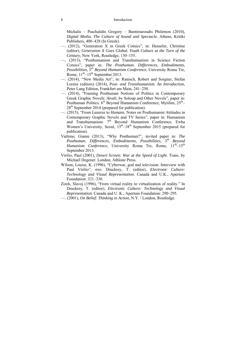Michalis – Paschalidis Gregory – Bantimaroudis Philemon (2010), *Digital Media. The Culture of Sound and Spectacle*, Athens, Kritiki Publishers, 400–428 (In Greek).

- —. (2012), "Generation Χ in Greek Comics", in: Henseler, Christine (editor), *Generation X Goes Global. Youth Culture at the Turn of the Century*, New York, Routledge, 130–155.
- —. (2013), "Posthumanism and Transhumanism in Science Fiction Comics", paper in: *The Posthuman. Differences, Embodiments, Possibilities, 5th Beyond Humanism Conference*, University Roma Tre, Rome,  $11<sup>th</sup>-15<sup>th</sup>$  September 2013.
- —. (2014), "New Media Art", in: Ranisch, Robert and Sorgner, Stefan Lorenz (editors) (2014), *Post- and Transhumanism. An Introduction*, Peter Lang Edition, Frankfurt am Main, 241–250.
- —. (2014), "Framing Posthuman Notions of Politics in Contemporary Greek Graphic Novels: *Aivali*, by Soloup and Other Novels", paper in: Posthuman Politics.  $6<sup>th</sup>$  Beyond Humanism Conference, Mytilini,  $25<sup>th</sup>$ –  $28<sup>th</sup>$  September 2014 (prepared for publication).
- —. (2015), "From *Lazarus* to *Humans*. Notes on Posthumanist Attitudes in Contemporary Graphic Novels and TV Series", paper in: Humanism and Transhumanism.  $7<sup>th</sup>$  Beyond Humanism Conference, Ewha Women's University, Seoul,  $15<sup>th</sup>-18<sup>th</sup>$  September 2015 (prepared for publication).
- Vattimo, Gianni (2013), "Why Posthuman?", invited paper in: *The Posthuman. Differences, Embodiments, Possibilities, 5th Beyond Humanism Conference*, University Roma Tre, Rome,  $11^{th}$ – $15^{th}$ September 2013.
- Virilio, Paul (2001), *Desert Screen: War at the Speed of Light*. Trans. by Michael Degener. London, Athlone Press.
- Wilson, Louise, K. (1996), "Cyberwar, god and television: Interview with Paul Virilio", στο: Druckrey, T. (editor), *Electronic Culture: Technology and Visual Representation.* Canada and U.K., Aperture Foundation: 321–330.
- Zizek, Slavoj (1996), "From virtual reality to virtualization of reality." In Druckrey, T. (editor), *Electronic Culture: Technology and Visual Representation.* Canada and U. K., Aperture Foundation: 290–295.
- —. (2001), *On Belief: Thinking in Action*, N.Y. / London, Routledge.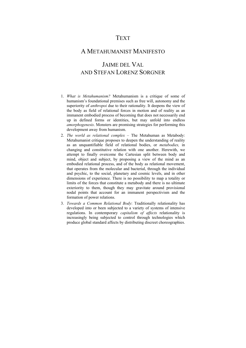## **TEXT**

## A METAHUMANIST MANIFESTO

# JAIME DEL VAL AND STEFAN LORENZ SORGNER

- 1. *What is Metahumanism?* Metahumanism is a critique of some of humanism's foundational premises such as free will, autonomy and the superiority of *anthropoi* due to their rationality. It deepens the view of the body as field of relational forces in motion and of reality as an immanent embodied process of becoming that does not necessarily end up in defined forms or identities, but may unfold into endless *amorphogenesis*. Monsters are promising strategies for performing this development away from humanism.
- 2. *The world as relational complex* The Metahuman as Metabody: Metahumanist critique proposes to deepen the understanding of reality as an unquantifiable field of relational bodies, or *metabodies,* in changing and constitutive relation with one another. Herewith, we attempt to finally overcome the Cartesian split between body and mind, object and subject, by proposing a view of the mind as an embodied relational process, and of the body as relational movement, that operates from the molecular and bacterial, through the individual and psychic, to the social, planetary and cosmic levels, and in other dimensions of experience. There is no possibility to map a totality or limits of the forces that constitute a metabody and there is no ultimate exteriority to them, though they may gravitate around provisional nodal points that account for an immanent perspectivism and the formation of power relations.
- 3. *Towards a Common Relational Body*: Traditionally relationality has developed into or been subjected to a variety of systems of intensive regulations. In contemporary *capitalism of affects* relationality is increasingly being subjected to control through technologies which produce global standard affects by distributing discreet choreographies.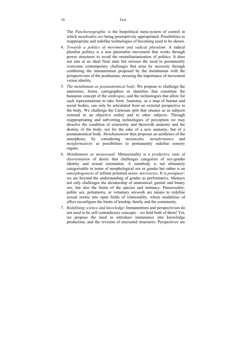The *Panchoreographic* is the biopolitical meta-system of control in which *metabodies are* being preemptively appropriated. Possibilities to reappropriate and redefine technologies of becoming need to be shown.

- 4. *Towards a politics of movement and radical pluralism*: A radical pluralist politics is a non paternalist movement that works through power structures to avoid the retotalitarianisation of politics. It does not aim at an ideal final state but stresses the need to permanently overcome contemporary challenges that arise by necessity through combining the immanentism proposed by the metahuman with the perspectivism of the posthuman, stressing the importance of movement versus identity.
- 5. *The metahuman as postanatomical body*: We propose to challenge the anatomies, forms, cartographies or identities that constitute the humanist concept of the *anthropos*, and the technologies that allow for such representations to take form. Anatomy, as a map of human and social bodies, can only be articulated from an external perspective to the body. We challenge the Cartesian split that situates us as subjects external to an objective reality and to other subjects. Through reappropriating and subverting technologies of perception we may dissolve the condition of exteriority and therewith anatomy and the destiny of the body, not for the sake of a new anatomy, but of a postanatomical body. *Metahumanism* thus proposes an aesthetics of the amorphous, by considering *metamedia*, *metaformance* and amorphous, by considering *metamedia, metaformance* and *metaformativity* as possibilities to permanently redefine sensory organs.
- 6. *Metahumans as metasexual*: Metasexuality is a *productive state of disorientation* of desire that challenges categories of sex-gender identity and sexual orientation. A metabody is not ultimately categorisable in terms of morphological sex or gender but rather is an *amorphogenesis* of infinite potential sexes: *microsexes*. It is *postqueer*: we are beyond the understanding of gender as performative. Metasex not only challenges the dictatorship of anatomical, genital and binary sex, but also the limits of the species and intimacy. Pansexuality, public sex, poliamoria, or voluntary sexwork are means to redefine sexual norms into open fields of relationality, where modalities of affect reconfigure the limits of kinship, family and the community.
- 7. *Redefining science and knowledge*: Immanentism and perspectivism do not need to be self contradictory concepts – we hold both of them! Yet, we propose the need to introduce immanence into knowledge production, and the revision of encrusted structures. Perspectives are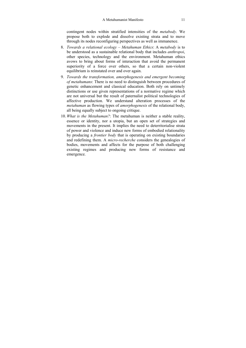contingent nodes within stratified intensities of the *metabody*. We propose both to explode and dissolve existing strata and to move through its nodes reconfiguring perspectives as well as immanence.

- 8. *Towards a relational ecology Metahuman Ethics*: A *metabody* is to be understood as a sustainable relational body that includes *anthropoi*, other species, technology and the environment. Metahuman ethics avows to bring about forms of interaction that avoid the permanent superiority of a force over others, so that a certain non-violent equilibrium is reinstated over and over again.
- 9. *Towards the transformation, amorphogenesis and emergent becoming of metahumans*: There is no need to distinguish between procedures of genetic enhancement and classical education. Both rely on untimely distinctions or use given representations of a normative regime which are not universal but the result of paternalist political technologies of affective production. We understand alteration processes of the *metahuman* as flowing types of *amorphogenesis* of the relational body, all being equally subject to ongoing critique.
- 10. *What is the Metahuman?*: The metahuman is neither a stable reality, essence or identity, nor a utopia, but an open set of strategies and movements in the present. It implies the need to deterritorialise strata of power and violence and induce new forms of embodied relationality by producing a *frontier body* that is operating on existing boundaries and redefining them. A *micro-recherche* considers the genealogies of bodies, movements and affects for the purpose of both challenging existing regimes and producing new forms of resistance and emergence.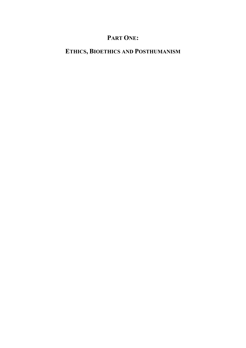# **PART ONE:**

# **ETHICS, BIOETHICS AND POSTHUMANISM**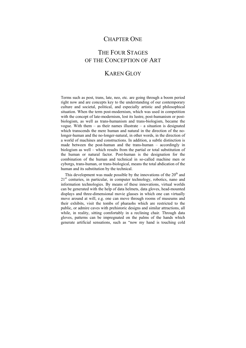## CHAPTER ONE

# THE FOUR STAGES OF THE CONCEPTION OF ART

## KAREN GLOY

Terms such as post, trans, late, neo, etc. are going through a boom period right now and are concepts key to the understanding of our contemporary culture and societal, political, and especially artistic and philosophical situation. When the term post-modernism, which was used in competition with the concept of late-modernism, lost its lustre, post-humanism or postbiologism, as well as trans-humanism and trans-biologism, became the vogue. With them  $-$  as their names illustrate  $-$  a situation is designated which transcends the mere human and natural in the direction of the nolonger-human and the no-longer-natural, in other words, in the direction of a world of machines and constructions. In addition, a subtle distinction is made between the post-human and the trans-human – accordingly in biologism as well – which results from the partial or total substitution of the human or natural factor. Post-human is the designation for the combination of the human and technical in so-called machine men or cyborgs, trans-human, or trans-biological, means the total abdication of the human and its substitution by the technical.

This development was made possible by the innovations of the  $20<sup>th</sup>$  and 21<sup>st</sup> centuries, in particular, in computer technology, robotics, nano and information technologies. By means of these innovations, virtual worlds can be generated with the help of data helmets, data gloves, head-mounted displays and three-dimensional movie glasses in which one can virtually move around at will, e.g. one can move through rooms of museums and their exhibits, visit the tombs of pharaohs which are restricted to the public, or admire caves with prehistoric designs and similar attractions, all while, in reality, sitting comfortably in a reclining chair. Through data gloves, patterns can be impregnated on the palms of the hands which generate artificial sensations, such as "now my hand is touching cold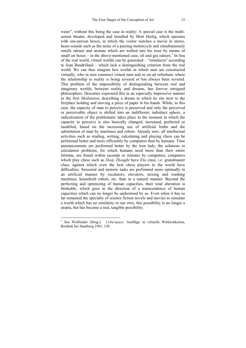water", without this being the case in reality. A special case is the multisensor theatre, developed and installed by Mort Heilig, which operates with one-person boxes, in which the visitor watches a movie in stereo, hears sounds such as the noise of a passing motorcycle and simultaneously smells odours and aromas which are wafted into his nose by means of small air hoses  $-$  in the above-mentioned case, oil and gas odours.<sup>1</sup> In lieu of the real world, virtual worlds can be generated – "simulacra" according to Jean Baudrillard – which lack a distinguishing criterion from the real world. We can thus imagine box worlds in which men are constructed virtually, who in turn construct virtual men and so on ad infinitum, where the relationship to reality is being severed or has always been severed. This problem of the impossibility of distinguishing between real and imaginary worlds, between reality and dreams, has forever intrigued philosophers. Descartes expressed this in an especially impressive manner in the first *Meditation*, describing a dream in which he sits next to the fireplace holding and moving a piece of paper in his hands. While, in this case, the capacity of man to perceive is preserved and only the perceived or perceivable object is shifted into an indifferent, indistinct sphere, a radicalization of the problematic takes place in the moment in which the capacity to perceive is also basically changed, increased, perfected or modified, based on the increasing use of artificial limbs and the substitution of man by machines and robots. Already now, all intellectual activities such as reading, writing, calculating and playing chess can be performed better and more efficiently by computers than by humans. Time announcements are performed better by the iron lady; the solutions to calculation problems, for which humans need more than their entire lifetime, are found within seconds or minutes by computers; computers which play chess such as *Deep Thought* have Elo class, i.e. grandmaster class, against which even the best chess players in the world have difficulties. Sensorial and motoric tasks are performed more optimally in an artificial manner by escalators, elevators, mixing and washing machines, household robots, etc. than in a natural manner. Beyond the perfecting and optimizing of human capacities, their total alteration is thinkable, which goes in the direction of a transcendence of human capacities which can no longer be understood by us. Even when it has so far remained the specialty of science fiction novels and movies to simulate a world which has no similarity to our own, this possibility is no longer a utopia, but has become a real, tangible possibility.

 $\overline{a}$ 

<sup>&</sup>lt;sup>1</sup> See Waffender (Hrsg.): *Cyberspace*. Ausflüge in virtuelle Wirklichkeiten, Reinbek bei Hamburg 1991, 120.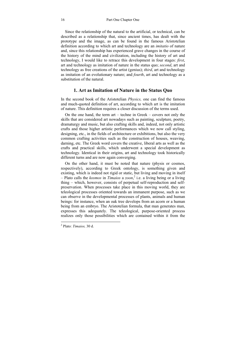Since the relationship of the natural to the artificial, or technical, can be described as a relationship that, since ancient times, has dealt with the prototype and the image, as can be found in the famous Aristotelian definition according to which art and technology are an *imitatio* of nature and, since this relationship has experienced grave changes in the course of the history of the mind and civilization, including the history of art and technology, I would like to retrace this development in four stages: *first*, art and technology as imitation of nature in the status quo; *second*, art and technology as free creations of the artist (genius); *third*, art and technology as imitation of an evolutionary nature; and *fourth*, art and technology as a substitution of the natural.

### **1. Art as Imitation of Nature in the Status Quo**

In the second book of the Aristotelian *Physics,* one can find the famous and much-quoted definition of art, according to which art is the imitation of nature. This definition requires a closer discussion of the terms used.

 On the one hand, the term art – techne in Greek – covers not only the skills that are considered art nowadays such as painting, sculpture, poetry, dramaturgy and music, but also crafting skills and, indeed, not only artistic crafts and those higher artistic performances which we now call styling, designing, etc., in the fields of architecture or exhibitions, but also the very common crafting activities such as the construction of houses, weaving, darning, etc. The Greek word covers the creative, liberal arts as well as the crafts and practical skills, which underwent a special development as technology. Identical in their origins, art and technology took historically different turns and are now again converging.

 On the other hand, it must be noted that nature (physis or cosmos, respectively), according to Greek ontology, is something given and existing, which is indeed not rigid or static, but living and moving in itself – Plato calls the *kosmos* in *Timaios* a *zoon*, 2 i.e. a living being or a living thing – which, however, consists of perpetual self-reproduction and selfpreservation. When processes take place in this moving world, they are teleological processes oriented towards an immanent purpose, such as we can observe in the developmental processes of plants, animals and human beings: for instance, when an oak tree develops from an acorn or a human being from an embryo. The Aristotelian formula, that man generates man, expresses this adequately. The teleological, purpose-oriented process realizes only those possibilities which are contained within it from the

 2 Plato: *Timaios,* 30 d.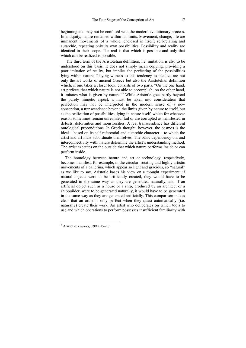beginning and may not be confused with the modern evolutionary process. In antiquity, nature remained within its limits. Movement, change, life are immanent movements of a whole, enclosed in itself, self-relating and autarchic, repeating only its own possibilities. Possibility and reality are identical in their scope. The real is that which is possible and only that which can be realized is possible.

 The third term of the Aristotelian definition, i.e. imitation, is also to be understood on this basis. It does not simply mean copying, providing a poor imitation of reality, but implies the perfecting of the possibilities lying within nature. Playing witness to this tendency to idealize are not only the art works of ancient Greece but also the Aristotelian definition which, if one takes a closer look, consists of two parts. "On the one hand, art perfects that which nature is not able to accomplish; on the other hand, it imitates what is given by nature."<sup>3</sup> While Aristotle goes partly beyond the purely mimetic aspect, it must be taken into consideration that perfection may not be interpreted in the modern sense of a new conception, a transcendence beyond the limits given by nature to itself, but as the realization of possibilities, lying in nature itself, which for whatever reason sometimes remain unrealized, fail or are corrupted as manifested in defects, deformities and monstrosities. A real transcendence has different ontological preconditions. In Greek thought, however, the cosmos is the ideal – based on its self-referential and autarchic character – to which the artist and art must subordinate themselves. The basic dependency on, and interconnectivity with, nature determine the artist's understanding method. The artist executes on the outside that which nature performs inside or can perform inside.

 The homology between nature and art or technology, respectively, becomes manifest, for example, in the circular, rotating and highly artistic movements of a ballerina, which appear so light and gracious, so "natural" as we like to say. Aristotle bases his view on a thought experiment: if natural objects were to be artificially created, they would have to be generated in the same way as they are generated naturally, and if an artificial object such as a house or a ship, produced by an architect or a shipbuilder, were to be generated naturally, it would have to be generated in the same way as they are generated artificially. This comparison makes clear that an artist is only perfect when they quasi automatically (i.e. naturally) create their work. An artist who deliberates on which tools to use and which operations to perform possesses insufficient familiarity with

 3 Aristotle: *Physics,* 199 a 15–17.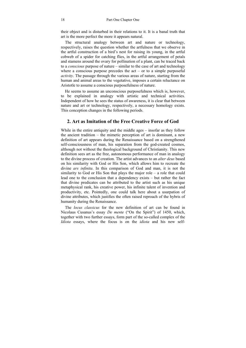their object and is disturbed in their relations to it. It is a banal truth that art is the more perfect the more it appears natural.

 The structural analogy between art and nature or technology, respectively, raises the question whether the artfulness that we observe in the artful construction of a bird's nest for raising its young, in the artful cobweb of a spider for catching flies, in the artful arrangement of petals and stamens around the ovary for pollination of a plant, can be traced back to a *conscious* purpose of nature – similar to the case of art and technology where a conscious purpose precedes the  $act - or to a simple purposeful$ *activity*. The passage through the various areas of nature, starting from the human and animal areas to the vegetative, imposes a certain reluctance on Aristotle to assume a conscious purposefulness of nature.

 He seems to assume an unconscious purposefulness which is, however, to be explained in analogy with artistic and technical activities. Independent of how he sees the status of awareness, it is clear that between nature and art or technology, respectively, a necessary homology exists. This conception changes in the following periods.

### **2. Art as Imitation of the Free Creative Force of God**

While in the entire antiquity and the middle ages – insofar as they follow the ancient tradition – the mimetic perception of art is dominant, a new definition of art appears during the Renaissance based on a strengthened self-consciousness of man, his separation from the god-created cosmos, although not without the theological background of Christianity. This new definition sees art as the free, autonomous performance of man in analogy to the divine process of creation. The artist advances to an *alter deus* based on his similarity with God or His Son, which allows him to recreate the divine *ars infinita*. In this comparison of God and man, it is not the similarity to God or His Son that plays the major role – a role that could lead one to the conclusion that a dependency exists – but rather the fact that divine predicates can be attributed to the artist such as his unique metaphysical rank, his creative power, his infinite talent of invention and productivity, etc. Pointedly, one could talk here about a usurpation of divine attributes, which justifies the often raised reproach of the hybris of humanity during the Renaissance.

 The *locus classicus* for the new definition of art can be found in Nicolaus Cusanus's essay *De mente* ("On the Spirit") of 1450, which, together with two further essays, form part of the so-called complex of the *Idiota* essays, where the focus is on the *idiota* and his new self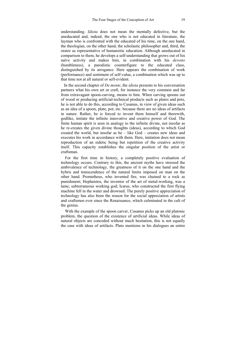understanding. *Idiota* does not mean the mentally defective, but the uneducated and, indeed, the one who is not educated in literature, the layman who is confronted with the educated of his time, on the one hand, the theologian, on the other hand, the scholastic philosopher and, third, the orator as representative of humanistic education. Although uneducated in comparison to them, he develops a self-understanding that grows out of his naïve activity and makes him, in combination with his *devotio* (humbleness), a parodistic counterfigure to the educated class, distinguished by its arrogance. Here appears the combination of work (performance) and sentiment of self-value, a combination which was up to that time not at all natural or self-evident.

 In the second chapter of *De mente*, the *idiota* presents to his conversation partners what his own art or craft, for instance the very common and far from extravagant spoon-carving, means to him. When carving spoons out of wood or producing artificial-technical products such as plates and pots, he is not able to do this, according to Cusanus, in view of given ideas such as an idea of a spoon, plate, pot, etc. because there are no ideas of artifacts in nature. Rather, he is forced to invent them himself and therewith, godlike, imitate the infinite innovative and creative power of God. The finite human spirit is seen in analogy to the infinite divine, not insofar as he re-creates the given divine thoughts (ideas), according to which God created the world, but insofar as he – like God – creates new ideas and executes his work in accordance with them. Here, imitation does not mean reproduction of an eidetic being but repetition of the creative activity itself. This capacity establishes the singular position of the artist or craftsman.

 For the first time in history, a completely positive evaluation of technology occurs. Contrary to this, the ancient myths have stressed the ambivalence of technology, the greatness of it on the one hand and the hybris and transcendence of the natural limits imposed on man on the other hand. Prometheus, who invented fire, was chained to a rock as punishment; Hephaistos, the inventor of the art of metal-working, was a lame, subterraneous working god; Icarus, who constructed the first flying machine fell in the water and drowned. The purely positive appreciation of technology has also been the reason for the social appreciation of artists and craftsmen ever since the Renaissance, which culminated in the cult of the genius.

 With the example of the spoon carver, Cusanus picks up an old platonic problem, the question of the existence of artificial ideas. While ideas of natural objects are conceded without much hesitation, this is not equally the case with ideas of artifacts. Plato mentions in his dialogues an entire